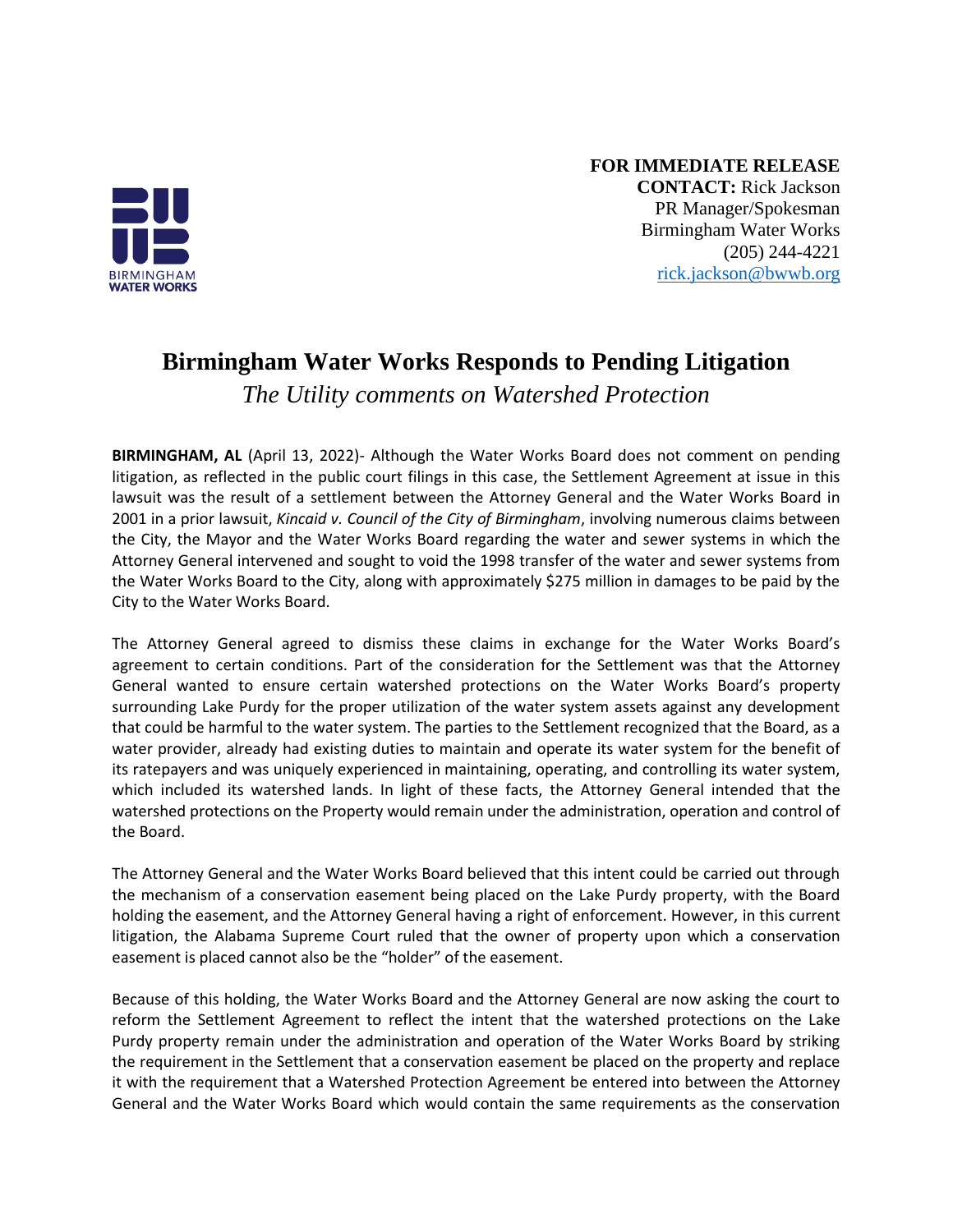

**FOR IMMEDIATE RELEASE CONTACT:** Rick Jackson PR Manager/Spokesman Birmingham Water Works (205) 244-4221 [rick.jackson@bwwb.org](mailto:rick.jackson@bwwb.org)

## **Birmingham Water Works Responds to Pending Litigation**

*The Utility comments on Watershed Protection*

**BIRMINGHAM, AL** (April 13, 2022)- Although the Water Works Board does not comment on pending litigation, as reflected in the public court filings in this case, the Settlement Agreement at issue in this lawsuit was the result of a settlement between the Attorney General and the Water Works Board in 2001 in a prior lawsuit, *Kincaid v. Council of the City of Birmingham*, involving numerous claims between the City, the Mayor and the Water Works Board regarding the water and sewer systems in which the Attorney General intervened and sought to void the 1998 transfer of the water and sewer systems from the Water Works Board to the City, along with approximately \$275 million in damages to be paid by the City to the Water Works Board.

The Attorney General agreed to dismiss these claims in exchange for the Water Works Board's agreement to certain conditions. Part of the consideration for the Settlement was that the Attorney General wanted to ensure certain watershed protections on the Water Works Board's property surrounding Lake Purdy for the proper utilization of the water system assets against any development that could be harmful to the water system. The parties to the Settlement recognized that the Board, as a water provider, already had existing duties to maintain and operate its water system for the benefit of its ratepayers and was uniquely experienced in maintaining, operating, and controlling its water system, which included its watershed lands. In light of these facts, the Attorney General intended that the watershed protections on the Property would remain under the administration, operation and control of the Board.

The Attorney General and the Water Works Board believed that this intent could be carried out through the mechanism of a conservation easement being placed on the Lake Purdy property, with the Board holding the easement, and the Attorney General having a right of enforcement. However, in this current litigation, the Alabama Supreme Court ruled that the owner of property upon which a conservation easement is placed cannot also be the "holder" of the easement.

Because of this holding, the Water Works Board and the Attorney General are now asking the court to reform the Settlement Agreement to reflect the intent that the watershed protections on the Lake Purdy property remain under the administration and operation of the Water Works Board by striking the requirement in the Settlement that a conservation easement be placed on the property and replace it with the requirement that a Watershed Protection Agreement be entered into between the Attorney General and the Water Works Board which would contain the same requirements as the conservation